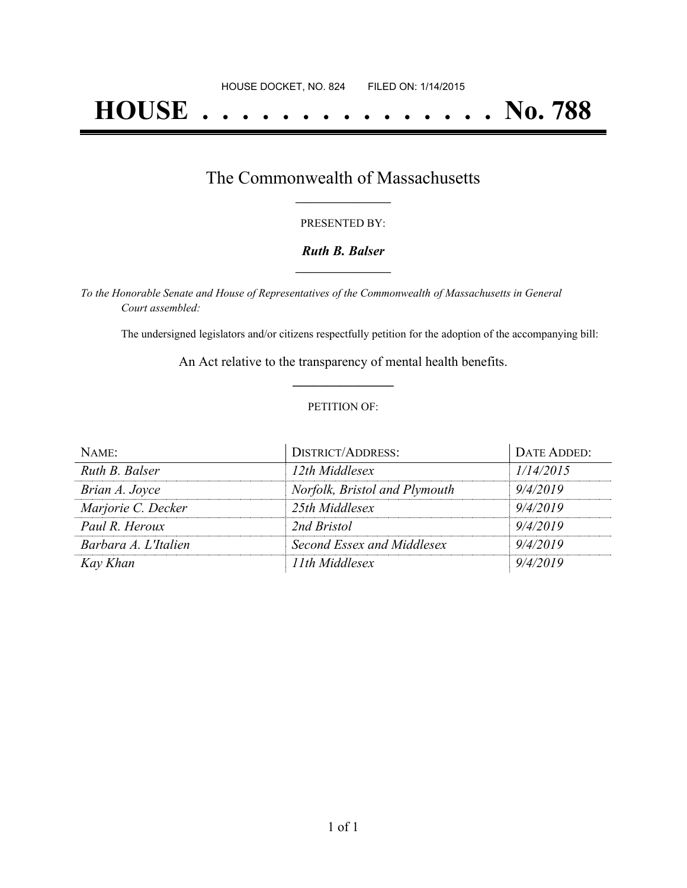# **HOUSE . . . . . . . . . . . . . . . No. 788**

### The Commonwealth of Massachusetts **\_\_\_\_\_\_\_\_\_\_\_\_\_\_\_\_\_**

#### PRESENTED BY:

#### *Ruth B. Balser* **\_\_\_\_\_\_\_\_\_\_\_\_\_\_\_\_\_**

*To the Honorable Senate and House of Representatives of the Commonwealth of Massachusetts in General Court assembled:*

The undersigned legislators and/or citizens respectfully petition for the adoption of the accompanying bill:

An Act relative to the transparency of mental health benefits. **\_\_\_\_\_\_\_\_\_\_\_\_\_\_\_**

#### PETITION OF:

| $N$ AME:             | <b>DISTRICT/ADDRESS:</b>      | DATE ADDED: |
|----------------------|-------------------------------|-------------|
| Ruth B. Balser       | 12th Middlesex                | 1/14/2015   |
| Brian A. Joyce       | Norfolk, Bristol and Plymouth | 9/4/2019    |
| Marjorie C. Decker   | 25th Middlesex                | 9/4/2019    |
| Paul R. Heroux       | 2nd Bristol                   | 9/4/2019    |
| Barbara A. L'Italien | Second Essex and Middlesex    | 9/4/2019    |
| Kay Khan             | 11th Middlesex                | 9/4/2019    |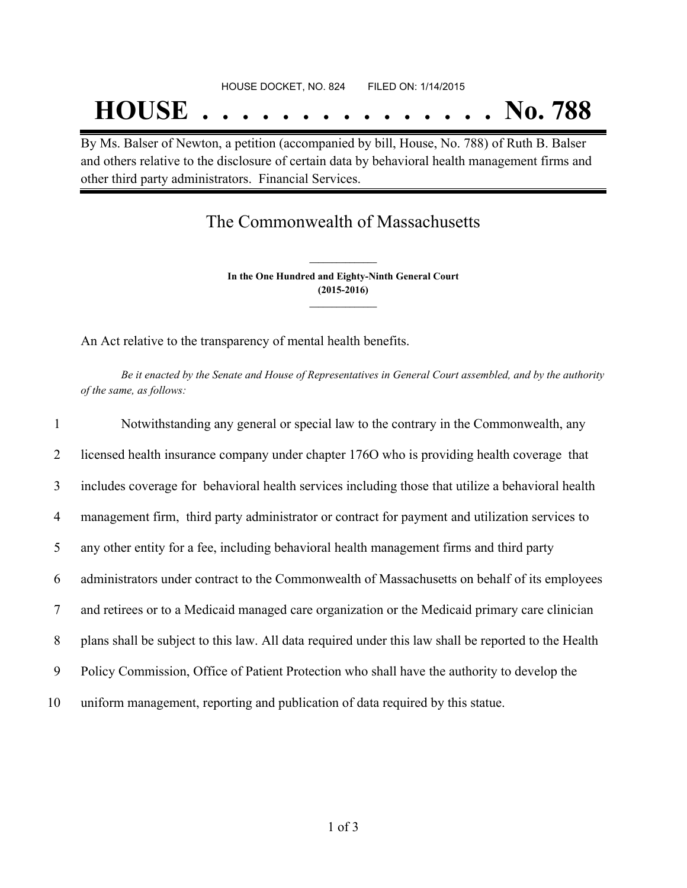# **HOUSE . . . . . . . . . . . . . . . No. 788**

By Ms. Balser of Newton, a petition (accompanied by bill, House, No. 788) of Ruth B. Balser and others relative to the disclosure of certain data by behavioral health management firms and other third party administrators. Financial Services.

### The Commonwealth of Massachusetts

**In the One Hundred and Eighty-Ninth General Court (2015-2016) \_\_\_\_\_\_\_\_\_\_\_\_\_\_\_**

**\_\_\_\_\_\_\_\_\_\_\_\_\_\_\_**

An Act relative to the transparency of mental health benefits.

Be it enacted by the Senate and House of Representatives in General Court assembled, and by the authority *of the same, as follows:*

| $\mathbf{1}$   | Notwithstanding any general or special law to the contrary in the Commonwealth, any                  |
|----------------|------------------------------------------------------------------------------------------------------|
| 2              | licensed health insurance company under chapter 1760 who is providing health coverage that           |
| 3              | includes coverage for behavioral health services including those that utilize a behavioral health    |
| $\overline{4}$ | management firm, third party administrator or contract for payment and utilization services to       |
| 5              | any other entity for a fee, including behavioral health management firms and third party             |
| 6              | administrators under contract to the Commonwealth of Massachusetts on behalf of its employees        |
| $\tau$         | and retirees or to a Medicaid managed care organization or the Medicaid primary care clinician       |
| 8              | plans shall be subject to this law. All data required under this law shall be reported to the Health |
| 9              | Policy Commission, Office of Patient Protection who shall have the authority to develop the          |
| 10             | uniform management, reporting and publication of data required by this statue.                       |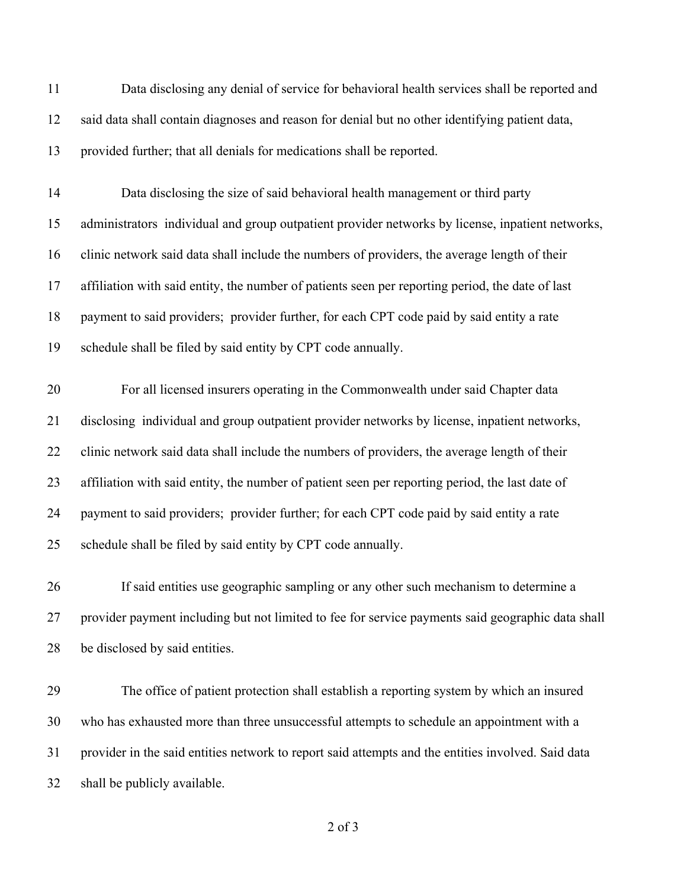| 11 | Data disclosing any denial of service for behavioral health services shall be reported and         |
|----|----------------------------------------------------------------------------------------------------|
| 12 | said data shall contain diagnoses and reason for denial but no other identifying patient data,     |
| 13 | provided further; that all denials for medications shall be reported.                              |
| 14 | Data disclosing the size of said behavioral health management or third party                       |
| 15 | administrators individual and group outpatient provider networks by license, inpatient networks,   |
| 16 | clinic network said data shall include the numbers of providers, the average length of their       |
| 17 | affiliation with said entity, the number of patients seen per reporting period, the date of last   |
| 18 | payment to said providers; provider further, for each CPT code paid by said entity a rate          |
| 19 | schedule shall be filed by said entity by CPT code annually.                                       |
| 20 | For all licensed insurers operating in the Commonwealth under said Chapter data                    |
| 21 | disclosing individual and group outpatient provider networks by license, inpatient networks,       |
| 22 | clinic network said data shall include the numbers of providers, the average length of their       |
| 23 | affiliation with said entity, the number of patient seen per reporting period, the last date of    |
| 24 | payment to said providers; provider further; for each CPT code paid by said entity a rate          |
| 25 | schedule shall be filed by said entity by CPT code annually.                                       |
| 26 | If said entities use geographic sampling or any other such mechanism to determine a                |
| 27 | provider payment including but not limited to fee for service payments said geographic data shall  |
| 28 | be disclosed by said entities.                                                                     |
| 29 | The office of patient protection shall establish a reporting system by which an insured            |
| 30 | who has exhausted more than three unsuccessful attempts to schedule an appointment with a          |
| 31 | provider in the said entities network to report said attempts and the entities involved. Said data |
| 32 | shall be publicly available.                                                                       |
|    |                                                                                                    |

of 3